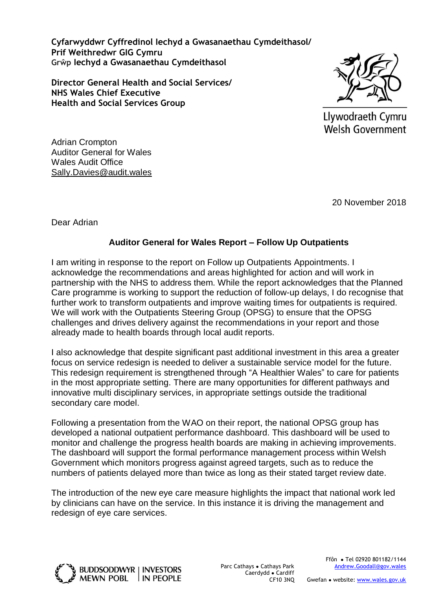**Cyfarwyddwr Cyffredinol Iechyd a Gwasanaethau Cymdeithasol/ Prif Weithredwr GIG Cymru Grŵp Iechyd a Gwasanaethau Cymdeithasol**

**Director General Health and Social Services/ NHS Wales Chief Executive Health and Social Services Group**



Llywodraeth Cymru **Welsh Government** 

Adrian Crompton Auditor General for Wales Wales Audit Office [Sally.Davies@audit.wales](mailto:Sally.Davies@audit.wales)

20 November 2018

Dear Adrian

# **Auditor General for Wales Report – Follow Up Outpatients**

I am writing in response to the report on Follow up Outpatients Appointments. I acknowledge the recommendations and areas highlighted for action and will work in partnership with the NHS to address them. While the report acknowledges that the Planned Care programme is working to support the reduction of follow-up delays, I do recognise that further work to transform outpatients and improve waiting times for outpatients is required. We will work with the Outpatients Steering Group (OPSG) to ensure that the OPSG challenges and drives delivery against the recommendations in your report and those already made to health boards through local audit reports.

I also acknowledge that despite significant past additional investment in this area a greater focus on service redesign is needed to deliver a sustainable service model for the future. This redesign requirement is strengthened through "A Healthier Wales" to care for patients in the most appropriate setting. There are many opportunities for different pathways and innovative multi disciplinary services, in appropriate settings outside the traditional secondary care model.

Following a presentation from the WAO on their report, the national OPSG group has developed a national outpatient performance dashboard. This dashboard will be used to monitor and challenge the progress health boards are making in achieving improvements. The dashboard will support the formal performance management process within Welsh Government which monitors progress against agreed targets, such as to reduce the numbers of patients delayed more than twice as long as their stated target review date.

The introduction of the new eye care measure highlights the impact that national work led by clinicians can have on the service. In this instance it is driving the management and redesign of eye care services.

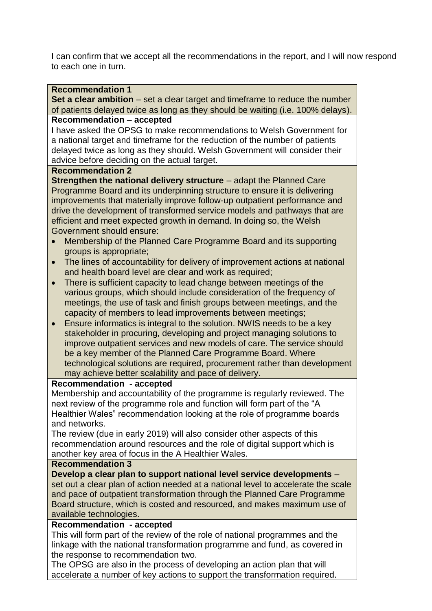I can confirm that we accept all the recommendations in the report, and I will now respond to each one in turn.

## **Recommendation 1**

**Set a clear ambition** – set a clear target and timeframe to reduce the number of patients delayed twice as long as they should be waiting (i.e. 100% delays).

## **Recommendation – accepted**

I have asked the OPSG to make recommendations to Welsh Government for a national target and timeframe for the reduction of the number of patients delayed twice as long as they should. Welsh Government will consider their advice before deciding on the actual target.

## **Recommendation 2**

**Strengthen the national delivery structure** – adapt the Planned Care Programme Board and its underpinning structure to ensure it is delivering improvements that materially improve follow-up outpatient performance and drive the development of transformed service models and pathways that are efficient and meet expected growth in demand. In doing so, the Welsh Government should ensure:

- Membership of the Planned Care Programme Board and its supporting groups is appropriate;
- The lines of accountability for delivery of improvement actions at national and health board level are clear and work as required;
- There is sufficient capacity to lead change between meetings of the various groups, which should include consideration of the frequency of meetings, the use of task and finish groups between meetings, and the capacity of members to lead improvements between meetings;
- Ensure informatics is integral to the solution. NWIS needs to be a key stakeholder in procuring, developing and project managing solutions to improve outpatient services and new models of care. The service should be a key member of the Planned Care Programme Board. Where technological solutions are required, procurement rather than development may achieve better scalability and pace of delivery.

## **Recommendation - accepted**

Membership and accountability of the programme is regularly reviewed. The next review of the programme role and function will form part of the "A Healthier Wales" recommendation looking at the role of programme boards and networks.

The review (due in early 2019) will also consider other aspects of this recommendation around resources and the role of digital support which is another key area of focus in the A Healthier Wales.

## **Recommendation 3**

**Develop a clear plan to support national level service developments** – set out a clear plan of action needed at a national level to accelerate the scale and pace of outpatient transformation through the Planned Care Programme Board structure, which is costed and resourced, and makes maximum use of available technologies.

## **Recommendation - accepted**

This will form part of the review of the role of national programmes and the linkage with the national transformation programme and fund, as covered in the response to recommendation two.

The OPSG are also in the process of developing an action plan that will accelerate a number of key actions to support the transformation required.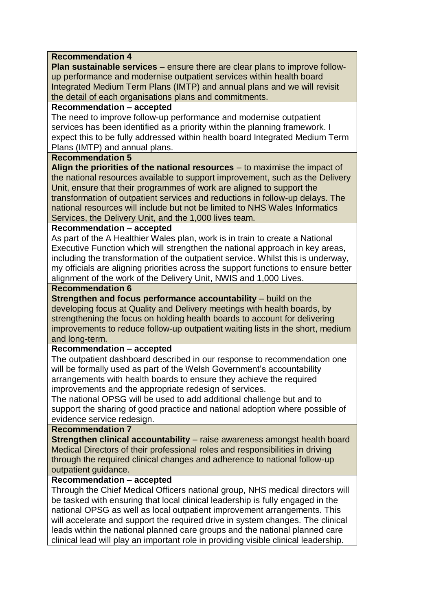## **Recommendation 4**

**Plan sustainable services** – ensure there are clear plans to improve followup performance and modernise outpatient services within health board Integrated Medium Term Plans (IMTP) and annual plans and we will revisit the detail of each organisations plans and commitments.

## **Recommendation – accepted**

The need to improve follow-up performance and modernise outpatient services has been identified as a priority within the planning framework. I expect this to be fully addressed within health board Integrated Medium Term Plans (IMTP) and annual plans.

## **Recommendation 5**

**Align the priorities of the national resources** – to maximise the impact of the national resources available to support improvement, such as the Delivery Unit, ensure that their programmes of work are aligned to support the transformation of outpatient services and reductions in follow-up delays. The national resources will include but not be limited to NHS Wales Informatics Services, the Delivery Unit, and the 1,000 lives team.

## **Recommendation – accepted**

As part of the A Healthier Wales plan, work is in train to create a National Executive Function which will strengthen the national approach in key areas, including the transformation of the outpatient service. Whilst this is underway, my officials are aligning priorities across the support functions to ensure better alignment of the work of the Delivery Unit, NWIS and 1,000 Lives.

## **Recommendation 6**

**Strengthen and focus performance accountability** – build on the developing focus at Quality and Delivery meetings with health boards, by strengthening the focus on holding health boards to account for delivering improvements to reduce follow-up outpatient waiting lists in the short, medium and long-term.

## **Recommendation – accepted**

The outpatient dashboard described in our response to recommendation one will be formally used as part of the Welsh Government's accountability arrangements with health boards to ensure they achieve the required improvements and the appropriate redesign of services.

The national OPSG will be used to add additional challenge but and to support the sharing of good practice and national adoption where possible of evidence service redesign.

## **Recommendation 7**

**Strengthen clinical accountability** – raise awareness amongst health board Medical Directors of their professional roles and responsibilities in driving through the required clinical changes and adherence to national follow-up outpatient guidance.

# **Recommendation – accepted**

Through the Chief Medical Officers national group, NHS medical directors will be tasked with ensuring that local clinical leadership is fully engaged in the national OPSG as well as local outpatient improvement arrangements. This will accelerate and support the required drive in system changes. The clinical leads within the national planned care groups and the national planned care clinical lead will play an important role in providing visible clinical leadership.